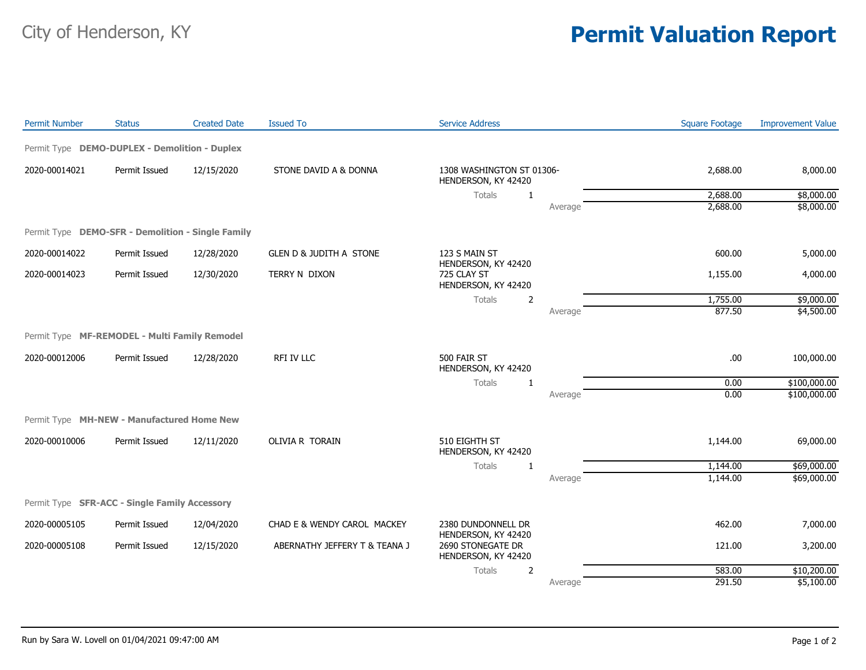## City of Henderson, KY **Permit Valuation Report**

| <b>Permit Number</b> | <b>Status</b>                                     | <b>Created Date</b> | <b>Issued To</b>                   | <b>Service Address</b>                                                     |         | <b>Square Footage</b> | <b>Improvement Value</b> |
|----------------------|---------------------------------------------------|---------------------|------------------------------------|----------------------------------------------------------------------------|---------|-----------------------|--------------------------|
|                      | Permit Type DEMO-DUPLEX - Demolition - Duplex     |                     |                                    |                                                                            |         |                       |                          |
| 2020-00014021        | Permit Issued                                     | 12/15/2020          | STONE DAVID A & DONNA              | 1308 WASHINGTON ST 01306-<br>HENDERSON, KY 42420                           |         | 2,688.00              | 8,000.00                 |
|                      |                                                   |                     |                                    | Totals<br>1                                                                |         | 2,688.00              | \$8,000.00               |
|                      |                                                   |                     |                                    |                                                                            | Average | 2,688.00              | \$8,000.00               |
|                      | Permit Type DEMO-SFR - Demolition - Single Family |                     |                                    |                                                                            |         |                       |                          |
| 2020-00014022        | Permit Issued                                     | 12/28/2020          | <b>GLEN D &amp; JUDITH A STONE</b> | 123 S MAIN ST<br>HENDERSON, KY 42420<br>725 CLAY ST<br>HENDERSON, KY 42420 |         | 600.00                | 5,000.00                 |
| 2020-00014023        | Permit Issued                                     | 12/30/2020          | TERRY N DIXON                      |                                                                            |         | 1,155.00              | 4,000.00                 |
|                      |                                                   |                     |                                    | Totals<br>$\overline{2}$                                                   |         | 1,755.00              | \$9,000.00               |
|                      |                                                   |                     |                                    |                                                                            | Average | 877.50                | \$4,500.00               |
|                      | Permit Type MF-REMODEL - Multi Family Remodel     |                     |                                    |                                                                            |         |                       |                          |
| 2020-00012006        | Permit Issued                                     | 12/28/2020          | RFI IV LLC                         | 500 FAIR ST<br>HENDERSON, KY 42420                                         |         | .00                   | 100,000.00               |
|                      |                                                   |                     |                                    | <b>Totals</b><br>1                                                         |         | 0.00                  | \$100,000.00             |
|                      |                                                   |                     |                                    |                                                                            | Average | 0.00                  | \$100,000.00             |
|                      | Permit Type MH-NEW - Manufactured Home New        |                     |                                    |                                                                            |         |                       |                          |
| 2020-00010006        | Permit Issued                                     | 12/11/2020          | OLIVIA R TORAIN                    | 510 EIGHTH ST<br>HENDERSON, KY 42420                                       |         | 1,144.00              | 69,000.00                |
|                      |                                                   |                     |                                    | Totals<br>1                                                                |         | 1,144.00              | \$69,000.00              |
|                      |                                                   |                     |                                    |                                                                            | Average | 1,144.00              | \$69,000.00              |
|                      | Permit Type SFR-ACC - Single Family Accessory     |                     |                                    |                                                                            |         |                       |                          |
| 2020-00005105        | Permit Issued                                     | 12/04/2020          | CHAD E & WENDY CAROL MACKEY        | 2380 DUNDONNELL DR<br>HENDERSON, KY 42420                                  |         | 462.00                | 7,000.00                 |
| 2020-00005108        | Permit Issued                                     | 12/15/2020          | ABERNATHY JEFFERY T & TEANA J      | 2690 STONEGATE DR<br>HENDERSON, KY 42420                                   |         | 121.00                | 3,200.00                 |
|                      |                                                   |                     |                                    | <b>Totals</b><br>$\overline{2}$                                            |         | 583.00                | \$10,200.00              |
|                      |                                                   |                     |                                    |                                                                            | Average | 291.50                | \$5,100.00               |